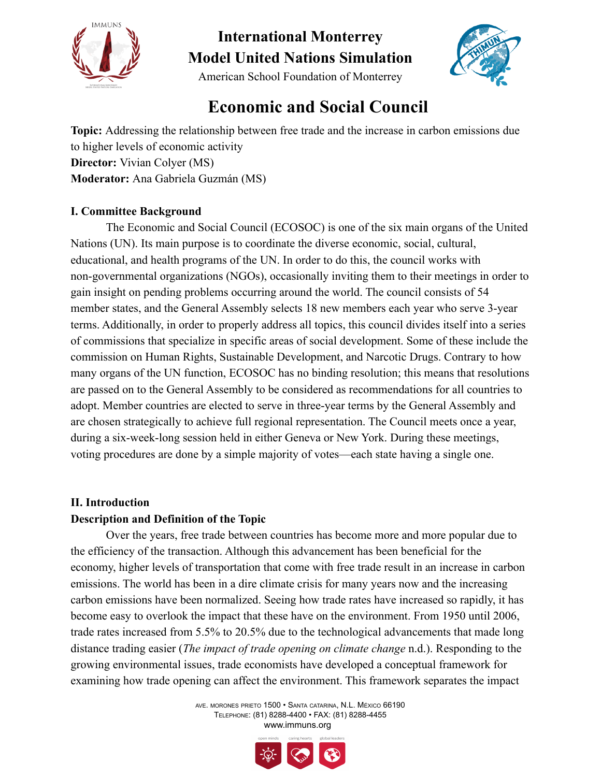



American School Foundation of Monterrey

### **Economic and Social Council**

**Topic:** Addressing the relationship between free trade and the increase in carbon emissions due to higher levels of economic activity **Director:** Vivian Colyer (MS) **Moderator:** Ana Gabriela Guzmán (MS)

#### **I. Committee Background**

The Economic and Social Council (ECOSOC) is one of the six main organs of the United Nations (UN). Its main purpose is to coordinate the diverse economic, social, cultural, educational, and health programs of the UN. In order to do this, the council works with non-governmental organizations (NGOs), occasionally inviting them to their meetings in order to gain insight on pending problems occurring around the world. The council consists of 54 member states, and the General Assembly selects 18 new members each year who serve 3-year terms. Additionally, in order to properly address all topics, this council divides itself into a series of commissions that specialize in specific areas of social development. Some of these include the commission on Human Rights, Sustainable Development, and Narcotic Drugs. Contrary to how many organs of the UN function, ECOSOC has no binding resolution; this means that resolutions are passed on to the General Assembly to be considered as recommendations for all countries to adopt. Member countries are elected to serve in three-year terms by the General Assembly and are chosen strategically to achieve full regional representation. The Council meets once a year, during a six-week-long session held in either Geneva or New York. During these meetings, voting procedures are done by a simple majority of votes—each state having a single one.

#### **II. Introduction**

#### **Description and Definition of the Topic**

Over the years, free trade between countries has become more and more popular due to the efficiency of the transaction. Although this advancement has been beneficial for the economy, higher levels of transportation that come with free trade result in an increase in carbon emissions. The world has been in a dire climate crisis for many years now and the increasing carbon emissions have been normalized. Seeing how trade rates have increased so rapidly, it has become easy to overlook the impact that these have on the environment. From 1950 until 2006, trade rates increased from 5.5% to 20.5% due to the technological advancements that made long distance trading easier (*The impact of trade opening on climate change* n.d.). Responding to the growing environmental issues, trade economists have developed a conceptual framework for examining how trade opening can affect the environment. This framework separates the impact

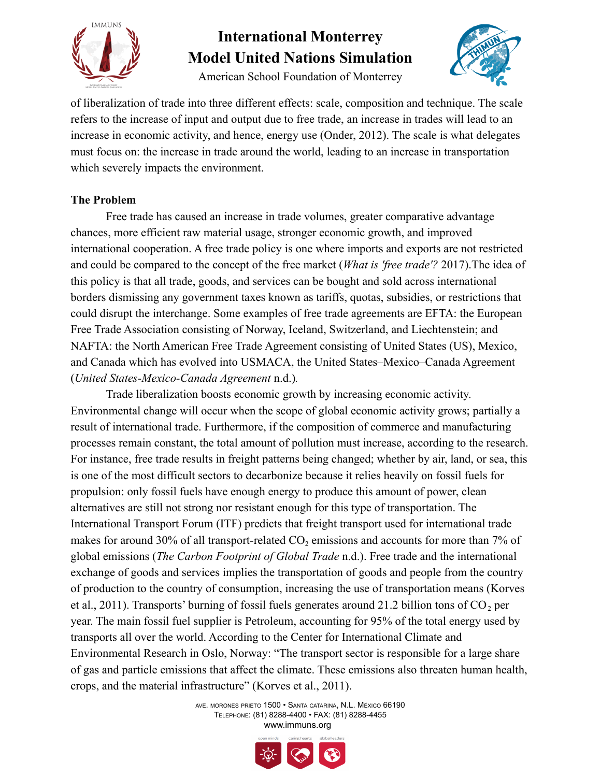

American School Foundation of Monterrey



of liberalization of trade into three different effects: scale, composition and technique. The scale refers to the increase of input and output due to free trade, an increase in trades will lead to an increase in economic activity, and hence, energy use (Onder, 2012). The scale is what delegates must focus on: the increase in trade around the world, leading to an increase in transportation which severely impacts the environment.

#### **The Problem**

Free trade has caused an increase in trade volumes, greater comparative advantage chances, more efficient raw material usage, stronger economic growth, and improved international cooperation. A free trade policy is one where imports and exports are not restricted and could be compared to the concept of the free market (*What is 'free trade'?* 2017).The idea of this policy is that all trade, goods, and services can be bought and sold across international borders dismissing any government taxes known as tariffs, quotas, subsidies, or restrictions that could disrupt the interchange. Some examples of free trade agreements are EFTA: the European Free Trade Association consisting of Norway, Iceland, Switzerland, and Liechtenstein; and NAFTA: the North American Free Trade Agreement consisting of United States (US), Mexico, and Canada which has evolved into USMACA, the United States–Mexico–Canada Agreement (*United States-Mexico-Canada Agreement* n.d.)*.*

Trade liberalization boosts economic growth by increasing economic activity. Environmental change will occur when the scope of global economic activity grows; partially a result of international trade. Furthermore, if the composition of commerce and manufacturing processes remain constant, the total amount of pollution must increase, according to the research. For instance, free trade results in freight patterns being changed; whether by air, land, or sea, this is one of the most difficult sectors to decarbonize because it relies heavily on fossil fuels for propulsion: only fossil fuels have enough energy to produce this amount of power, clean alternatives are still not strong nor resistant enough for this type of transportation. The International Transport Forum (ITF) predicts that freight transport used for international trade makes for around 30% of all transport-related  $CO<sub>2</sub>$  emissions and accounts for more than 7% of global emissions (*The Carbon Footprint of Global Trade* n.d.). Free trade and the international exchange of goods and services implies the transportation of goods and people from the country of production to the country of consumption, increasing the use of transportation means (Korves et al., 2011). Transports' burning of fossil fuels generates around 21.2 billion tons of  $CO<sub>2</sub>$  per year. The main fossil fuel supplier is Petroleum, accounting for 95% of the total energy used by transports all over the world. According to the Center for International Climate and Environmental Research in Oslo, Norway: "The transport sector is responsible for a large share of gas and particle emissions that affect the climate. These emissions also threaten human health, crops, and the material infrastructure" (Korves et al., 2011).

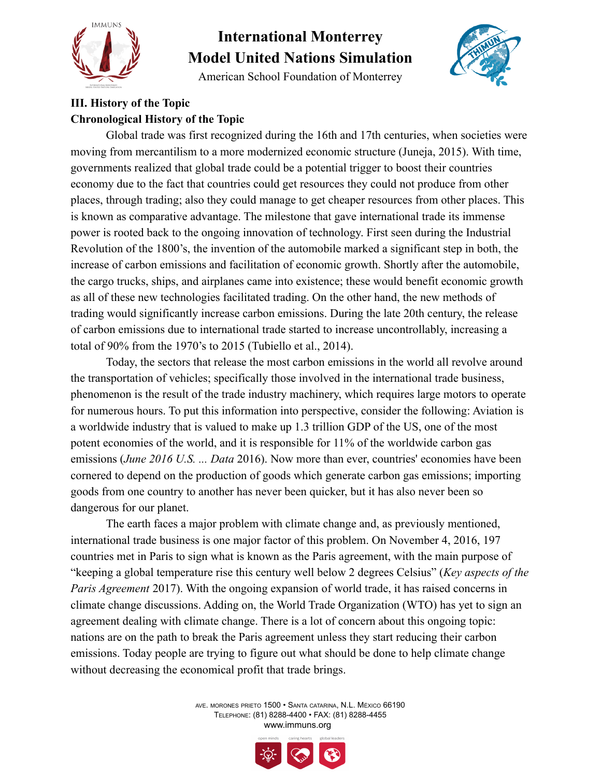

American School Foundation of Monterrey



### **III. History of the Topic Chronological History of the Topic**

Global trade was first recognized during the 16th and 17th centuries, when societies were moving from mercantilism to a more modernized economic structure (Juneja, 2015). With time, governments realized that global trade could be a potential trigger to boost their countries economy due to the fact that countries could get resources they could not produce from other places, through trading; also they could manage to get cheaper resources from other places. This is known as comparative advantage. The milestone that gave international trade its immense power is rooted back to the ongoing innovation of technology. First seen during the Industrial Revolution of the 1800's, the invention of the automobile marked a significant step in both, the increase of carbon emissions and facilitation of economic growth. Shortly after the automobile, the cargo trucks, ships, and airplanes came into existence; these would benefit economic growth as all of these new technologies facilitated trading. On the other hand, the new methods of trading would significantly increase carbon emissions. During the late 20th century, the release of carbon emissions due to international trade started to increase uncontrollably, increasing a total of 90% from the 1970's to 2015 (Tubiello et al., 2014).

Today, the sectors that release the most carbon emissions in the world all revolve around the transportation of vehicles; specifically those involved in the international trade business, phenomenon is the result of the trade industry machinery, which requires large motors to operate for numerous hours. To put this information into perspective, consider the following: Aviation is a worldwide industry that is valued to make up 1.3 trillion GDP of the US, one of the most potent economies of the world, and it is responsible for 11% of the worldwide carbon gas emissions (*June 2016 U.S. ... Data* 2016). Now more than ever, countries' economies have been cornered to depend on the production of goods which generate carbon gas emissions; importing goods from one country to another has never been quicker, but it has also never been so dangerous for our planet.

The earth faces a major problem with climate change and, as previously mentioned, international trade business is one major factor of this problem. On November 4, 2016, 197 countries met in Paris to sign what is known as the Paris agreement, with the main purpose of "keeping a global temperature rise this century well below 2 degrees Celsius" (*Key aspects of the Paris Agreement* 2017). With the ongoing expansion of world trade, it has raised concerns in climate change discussions. Adding on, the World Trade Organization (WTO) has yet to sign an agreement dealing with climate change. There is a lot of concern about this ongoing topic: nations are on the path to break the Paris agreement unless they start reducing their carbon emissions. Today people are trying to figure out what should be done to help climate change without decreasing the economical profit that trade brings.



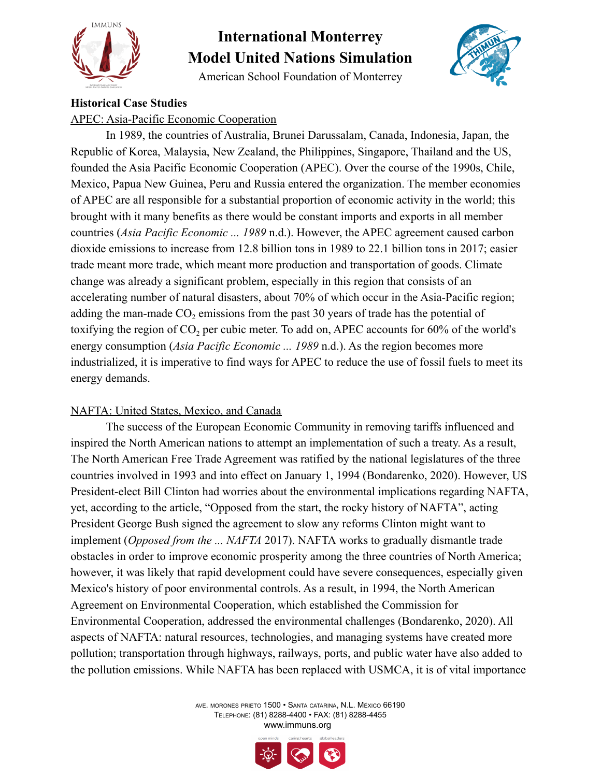

American School Foundation of Monterrey



#### **Historical Case Studies**

APEC: Asia-Pacific Economic Cooperation

In 1989, the countries of Australia, Brunei Darussalam, Canada, Indonesia, Japan, the Republic of Korea, Malaysia, New Zealand, the Philippines, Singapore, Thailand and the US, founded the Asia Pacific Economic Cooperation (APEC). Over the course of the 1990s, Chile, Mexico, Papua New Guinea, Peru and Russia entered the organization. The member economies of APEC are all responsible for a substantial proportion of economic activity in the world; this brought with it many benefits as there would be constant imports and exports in all member countries (*Asia Pacific Economic ... 1989* n.d.). However, the APEC agreement caused carbon dioxide emissions to increase from 12.8 billion tons in 1989 to 22.1 billion tons in 2017; easier trade meant more trade, which meant more production and transportation of goods. Climate change was already a significant problem, especially in this region that consists of an accelerating number of natural disasters, about 70% of which occur in the Asia-Pacific region; adding the man-made  $CO<sub>2</sub>$  emissions from the past 30 years of trade has the potential of toxifying the region of  $CO<sub>2</sub>$  per cubic meter. To add on, APEC accounts for  $60\%$  of the world's energy consumption (*Asia Pacific Economic ... 1989* n.d.). As the region becomes more industrialized, it is imperative to find ways for APEC to reduce the use of fossil fuels to meet its energy demands.

#### NAFTA: United States, Mexico, and Canada

The success of the European Economic Community in removing tariffs influenced and inspired the North American nations to attempt an implementation of such a treaty. As a result, The North American Free Trade Agreement was ratified by the national legislatures of the three countries involved in 1993 and into effect on January 1, 1994 (Bondarenko, 2020). However, US President-elect Bill Clinton had worries about the environmental implications regarding NAFTA, yet, according to the article, "Opposed from the start, the rocky history of NAFTA", acting President George Bush signed the agreement to slow any reforms Clinton might want to implement (*Opposed from the ... NAFTA* 2017). NAFTA works to gradually dismantle trade obstacles in order to improve economic prosperity among the three countries of North America; however, it was likely that rapid development could have severe consequences, especially given Mexico's history of poor environmental controls. As a result, in 1994, the North American Agreement on Environmental Cooperation, which established the Commission for Environmental Cooperation, addressed the environmental challenges (Bondarenko, 2020). All aspects of NAFTA: natural resources, technologies, and managing systems have created more pollution; transportation through highways, railways, ports, and public water have also added to the pollution emissions. While NAFTA has been replaced with USMCA, it is of vital importance



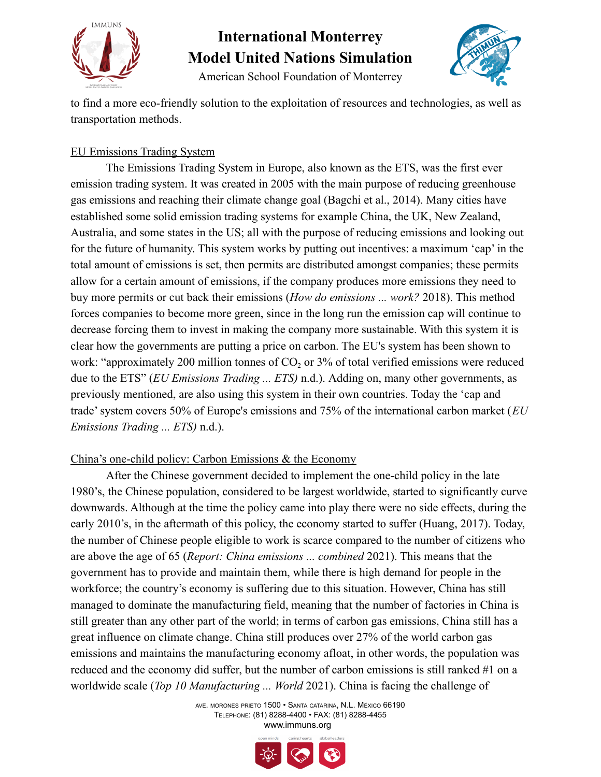

American School Foundation of Monterrey



to find a more eco-friendly solution to the exploitation of resources and technologies, as well as transportation methods.

### EU Emissions Trading System

The Emissions Trading System in Europe, also known as the ETS, was the first ever emission trading system. It was created in 2005 with the main purpose of reducing greenhouse gas emissions and reaching their climate change goal (Bagchi et al., 2014). Many cities have established some solid emission trading systems for example China, the UK, New Zealand, Australia, and some states in the US; all with the purpose of reducing emissions and looking out for the future of humanity. This system works by putting out incentives: a maximum 'cap' in the total amount of emissions is set, then permits are distributed amongst companies; these permits allow for a certain amount of emissions, if the company produces more emissions they need to buy more permits or cut back their emissions (*How do emissions ... work?* 2018). This method forces companies to become more green, since in the long run the emission cap will continue to decrease forcing them to invest in making the company more sustainable. With this system it is clear how the governments are putting a price on carbon. The EU's system has been shown to work: "approximately 200 million tonnes of  $CO<sub>2</sub>$  or  $3\%$  of total verified emissions were reduced due to the ETS" (*EU Emissions Trading ... ETS)* n.d.). Adding on, many other governments, as previously mentioned, are also using this system in their own countries. Today the 'cap and trade' system covers 50% of Europe's emissions and 75% of the international carbon market (*EU Emissions Trading ... ETS)* n.d.).

#### China's one-child policy: Carbon Emissions & the Economy

After the Chinese government decided to implement the one-child policy in the late 1980's, the Chinese population, considered to be largest worldwide, started to significantly curve downwards. Although at the time the policy came into play there were no side effects, during the early 2010's, in the aftermath of this policy, the economy started to suffer (Huang, 2017). Today, the number of Chinese people eligible to work is scarce compared to the number of citizens who are above the age of 65 (*Report: China emissions ... combined* 2021). This means that the government has to provide and maintain them, while there is high demand for people in the workforce; the country's economy is suffering due to this situation. However, China has still managed to dominate the manufacturing field, meaning that the number of factories in China is still greater than any other part of the world; in terms of carbon gas emissions, China still has a great influence on climate change. China still produces over 27% of the world carbon gas emissions and maintains the manufacturing economy afloat, in other words, the population was reduced and the economy did suffer, but the number of carbon emissions is still ranked #1 on a worldwide scale (*Top 10 Manufacturing ... World* 2021). China is facing the challenge of

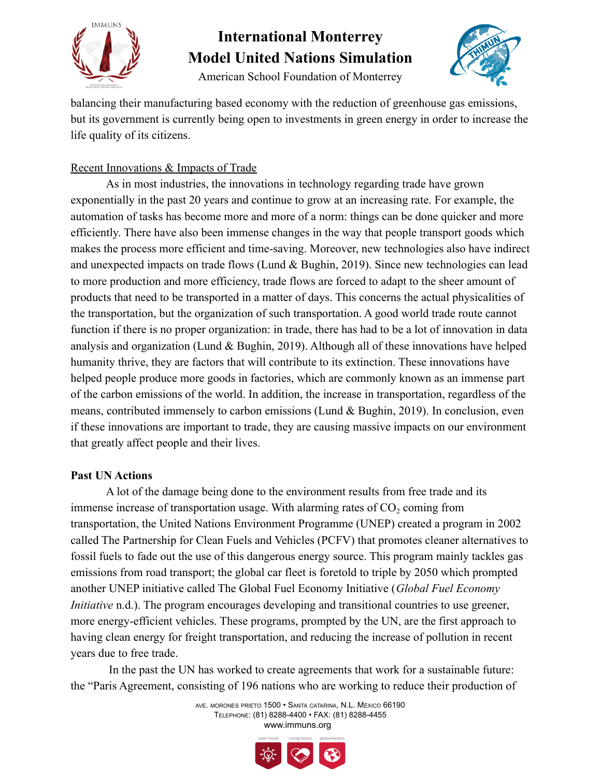

American School Foundation of Monterrey



balancing their manufacturing based economy with the reduction of greenhouse gas emissions, but its government is currently being open to investments in green energy in order to increase the life quality of its citizens.

### Recent Innovations & Impacts of Trade

As in most industries, the innovations in technology regarding trade have grown exponentially in the past 20 years and continue to grow at an increasing rate. For example, the automation of tasks has become more and more of a norm: things can be done quicker and more efficiently. There have also been immense changes in the way that people transport goods which makes the process more efficient and time-saving. Moreover, new technologies also have indirect and unexpected impacts on trade flows (Lund & Bughin, 2019). Since new technologies can lead to more production and more efficiency, trade flows are forced to adapt to the sheer amount of products that need to be transported in a matter of days. This concerns the actual physicalities of the transportation, but the organization of such transportation. A good world trade route cannot function if there is no proper organization: in trade, there has had to be a lot of innovation in data analysis and organization (Lund & Bughin, 2019). Although all of these innovations have helped humanity thrive, they are factors that will contribute to its extinction. These innovations have helped people produce more goods in factories, which are commonly known as an immense part of the carbon emissions of the world. In addition, the increase in transportation, regardless of the means, contributed immensely to carbon emissions (Lund & Bughin, 2019). In conclusion, even if these innovations are important to trade, they are causing massive impacts on our environment that greatly affect people and their lives.

#### **Past UN Actions**

A lot of the damage being done to the environment results from free trade and its immense increase of transportation usage. With alarming rates of  $CO<sub>2</sub>$  coming from transportation, the United Nations Environment Programme (UNEP) created a program in 2002 called The Partnership for Clean Fuels and Vehicles (PCFV) that promotes cleaner alternatives to fossil fuels to fade out the use of this dangerous energy source. This program mainly tackles gas emissions from road transport; the global car fleet is foretold to triple by 2050 which prompted another UNEP initiative called The Global Fuel Economy Initiative (*Global Fuel Economy Initiative* n.d.). The program encourages developing and transitional countries to use greener, more energy-efficient vehicles. These programs, prompted by the UN, are the first approach to having clean energy for freight transportation, and reducing the increase of pollution in recent years due to free trade.

In the past the UN has worked to create agreements that work for a sustainable future: the "Paris Agreement, consisting of 196 nations who are working to reduce their production of

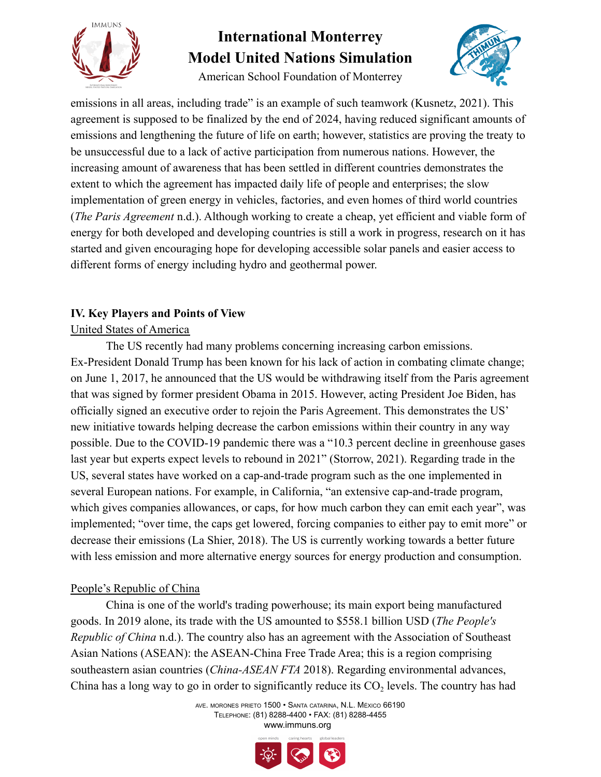

American School Foundation of Monterrey



emissions in all areas, including trade" is an example of such teamwork (Kusnetz, 2021). This agreement is supposed to be finalized by the end of 2024, having reduced significant amounts of emissions and lengthening the future of life on earth; however, statistics are proving the treaty to be unsuccessful due to a lack of active participation from numerous nations. However, the increasing amount of awareness that has been settled in different countries demonstrates the extent to which the agreement has impacted daily life of people and enterprises; the slow implementation of green energy in vehicles, factories, and even homes of third world countries (*The Paris Agreement* n.d.). Although working to create a cheap, yet efficient and viable form of energy for both developed and developing countries is still a work in progress, research on it has started and given encouraging hope for developing accessible solar panels and easier access to different forms of energy including hydro and geothermal power.

### **IV. Key Players and Points of View**

### United States of America

The US recently had many problems concerning increasing carbon emissions. Ex-President Donald Trump has been known for his lack of action in combating climate change; on June 1, 2017, he announced that the US would be withdrawing itself from the Paris agreement that was signed by former president Obama in 2015. However, acting President Joe Biden, has officially signed an executive order to rejoin the Paris Agreement. This demonstrates the US' new initiative towards helping decrease the carbon emissions within their country in any way possible. Due to the COVID-19 pandemic there was a "10.3 percent decline in greenhouse gases last year but experts expect levels to rebound in 2021" (Storrow, 2021). Regarding trade in the US, several states have worked on a cap-and-trade program such as the one implemented in several European nations. For example, in California, "an extensive cap-and-trade program, which gives companies allowances, or caps, for how much carbon they can emit each year", was implemented; "over time, the caps get lowered, forcing companies to either pay to emit more" or decrease their emissions (La Shier, 2018). The US is currently working towards a better future with less emission and more alternative energy sources for energy production and consumption.

### People's Republic of China

China is one of the world's trading powerhouse; its main export being manufactured goods. In 2019 alone, its trade with the US amounted to \$558.1 billion USD (*The People's Republic of China* n.d.). The country also has an agreement with the Association of Southeast Asian Nations (ASEAN): the ASEAN-China Free Trade Area; this is a region comprising southeastern asian countries (*China-ASEAN FTA* 2018). Regarding environmental advances, China has a long way to go in order to significantly reduce its  $CO<sub>2</sub>$  levels. The country has had

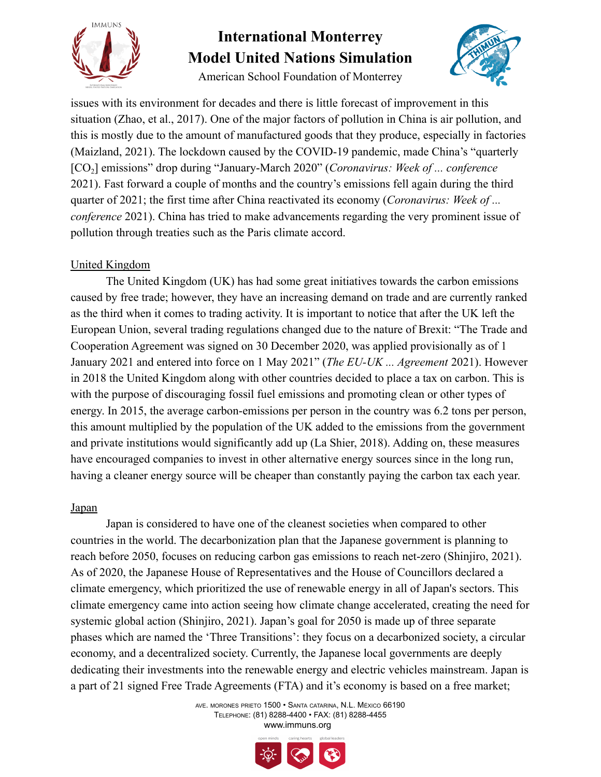

American School Foundation of Monterrey



issues with its environment for decades and there is little forecast of improvement in this situation (Zhao, et al., 2017). One of the major factors of pollution in China is air pollution, and this is mostly due to the amount of manufactured goods that they produce, especially in factories (Maizland, 2021). The lockdown caused by the COVID-19 pandemic, made China's "quarterly [CO2] emissions" drop during "January-March 2020" (*Coronavirus: Week of ... conference* 2021). Fast forward a couple of months and the country's emissions fell again during the third quarter of 2021; the first time after China reactivated its economy (*Coronavirus: Week of ... conference* 2021). China has tried to make advancements regarding the very prominent issue of pollution through treaties such as the Paris climate accord.

### United Kingdom

The United Kingdom (UK) has had some great initiatives towards the carbon emissions caused by free trade; however, they have an increasing demand on trade and are currently ranked as the third when it comes to trading activity. It is important to notice that after the UK left the European Union, several trading regulations changed due to the nature of Brexit: "The Trade and Cooperation Agreement was signed on 30 December 2020, was applied provisionally as of 1 January 2021 and entered into force on 1 May 2021" (*The EU-UK ... Agreement* 2021). However in 2018 the United Kingdom along with other countries decided to place a tax on carbon. This is with the purpose of discouraging fossil fuel emissions and promoting clean or other types of energy. In 2015, the average carbon-emissions per person in the country was 6.2 tons per person, this amount multiplied by the population of the UK added to the emissions from the government and private institutions would significantly add up (La Shier, 2018). Adding on, these measures have encouraged companies to invest in other alternative energy sources since in the long run, having a cleaner energy source will be cheaper than constantly paying the carbon tax each year.

#### Japan

Japan is considered to have one of the cleanest societies when compared to other countries in the world. The decarbonization plan that the Japanese government is planning to reach before 2050, focuses on reducing carbon gas emissions to reach net-zero (Shinjiro, 2021). As of 2020, the Japanese House of Representatives and the House of Councillors declared a climate emergency, which prioritized the use of renewable energy in all of Japan's sectors. This climate emergency came into action seeing how climate change accelerated, creating the need for systemic global action (Shinjiro, 2021). Japan's goal for 2050 is made up of three separate phases which are named the 'Three Transitions': they focus on a decarbonized society, a circular economy, and a decentralized society. Currently, the Japanese local governments are deeply dedicating their investments into the renewable energy and electric vehicles mainstream. Japan is a part of 21 signed Free Trade Agreements (FTA) and it's economy is based on a free market;

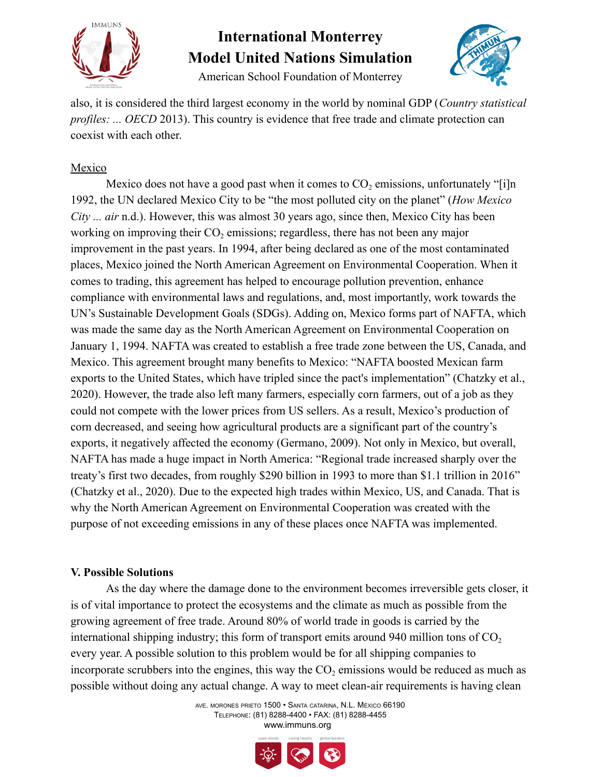

American School Foundation of Monterrey



also, it is considered the third largest economy in the world by nominal GDP (*Country statistical profiles: ... OECD* 2013). This country is evidence that free trade and climate protection can coexist with each other.

### Mexico

Mexico does not have a good past when it comes to  $CO<sub>2</sub>$  emissions, unfortunately "[i]n 1992, the UN declared Mexico City to be "the most polluted city on the planet" (*How Mexico City ... air* n.d.). However, this was almost 30 years ago, since then, Mexico City has been working on improving their  $CO<sub>2</sub>$  emissions; regardless, there has not been any major improvement in the past years. In 1994, after being declared as one of the most contaminated places, Mexico joined the North American Agreement on Environmental Cooperation. When it comes to trading, this agreement has helped to encourage pollution prevention, enhance compliance with environmental laws and regulations, and, most importantly, work towards the UN's Sustainable Development Goals (SDGs). Adding on, Mexico forms part of NAFTA, which was made the same day as the North American Agreement on Environmental Cooperation on January 1, 1994. NAFTA was created to establish a free trade zone between the US, Canada, and Mexico. This agreement brought many benefits to Mexico: "NAFTA boosted Mexican farm exports to the United States, which have tripled since the pact's implementation" (Chatzky et al., 2020). However, the trade also left many farmers, especially corn farmers, out of a job as they could not compete with the lower prices from US sellers. As a result, Mexico's production of corn decreased, and seeing how agricultural products are a significant part of the country's exports, it negatively affected the economy (Germano, 2009). Not only in Mexico, but overall, NAFTA has made a huge impact in North America: "Regional trade increased sharply over the treaty's first two decades, from roughly \$290 billion in 1993 to more than \$1.1 trillion in 2016" (Chatzky et al., 2020). Due to the expected high trades within Mexico, US, and Canada. That is why the North American Agreement on Environmental Cooperation was created with the purpose of not exceeding emissions in any of these places once NAFTA was implemented.

#### **V. Possible Solutions**

As the day where the damage done to the environment becomes irreversible gets closer, it is of vital importance to protect the ecosystems and the climate as much as possible from the growing agreement of free trade. Around 80% of world trade in goods is carried by the international shipping industry; this form of transport emits around 940 million tons of  $CO<sub>2</sub>$ every year. A possible solution to this problem would be for all shipping companies to incorporate scrubbers into the engines, this way the  $CO<sub>2</sub>$  emissions would be reduced as much as possible without doing any actual change. A way to meet clean-air requirements is having clean

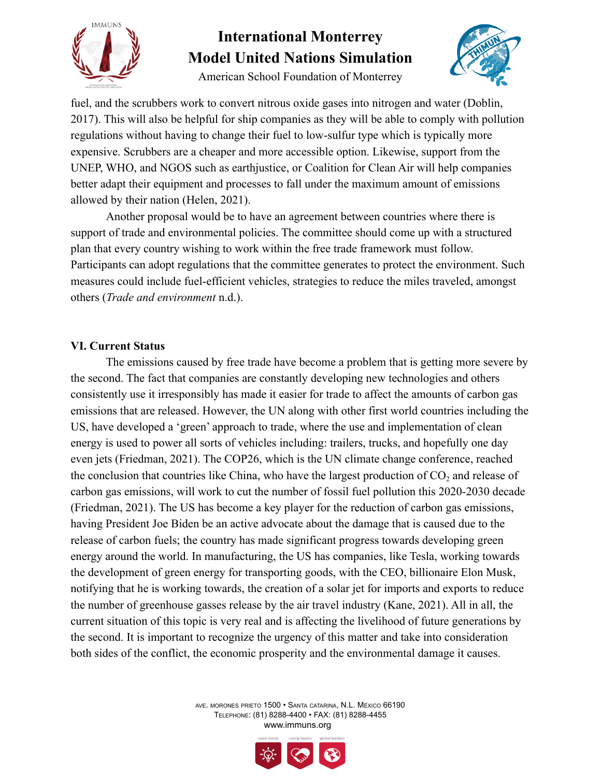

American School Foundation of Monterrey



fuel, and the scrubbers work to convert nitrous oxide gases into nitrogen and water (Doblin, 2017). This will also be helpful for ship companies as they will be able to comply with pollution regulations without having to change their fuel to low-sulfur type which is typically more expensive. Scrubbers are a cheaper and more accessible option. Likewise, support from the UNEP, WHO, and NGOS such as earthjustice, or Coalition for Clean Air will help companies better adapt their equipment and processes to fall under the maximum amount of emissions allowed by their nation (Helen, 2021).

Another proposal would be to have an agreement between countries where there is support of trade and environmental policies. The committee should come up with a structured plan that every country wishing to work within the free trade framework must follow. Participants can adopt regulations that the committee generates to protect the environment. Such measures could include fuel-efficient vehicles, strategies to reduce the miles traveled, amongst others (*Trade and environment* n.d.).

#### **VI. Current Status**

The emissions caused by free trade have become a problem that is getting more severe by the second. The fact that companies are constantly developing new technologies and others consistently use it irresponsibly has made it easier for trade to affect the amounts of carbon gas emissions that are released. However, the UN along with other first world countries including the US, have developed a 'green' approach to trade, where the use and implementation of clean energy is used to power all sorts of vehicles including: trailers, trucks, and hopefully one day even jets (Friedman, 2021). The COP26, which is the UN climate change conference, reached the conclusion that countries like China, who have the largest production of  $CO<sub>2</sub>$  and release of carbon gas emissions, will work to cut the number of fossil fuel pollution this 2020-2030 decade (Friedman, 2021). The US has become a key player for the reduction of carbon gas emissions, having President Joe Biden be an active advocate about the damage that is caused due to the release of carbon fuels; the country has made significant progress towards developing green energy around the world. In manufacturing, the US has companies, like Tesla, working towards the development of green energy for transporting goods, with the CEO, billionaire Elon Musk, notifying that he is working towards, the creation of a solar jet for imports and exports to reduce the number of greenhouse gasses release by the air travel industry (Kane, 2021). All in all, the current situation of this topic is very real and is affecting the livelihood of future generations by the second. It is important to recognize the urgency of this matter and take into consideration both sides of the conflict, the economic prosperity and the environmental damage it causes.



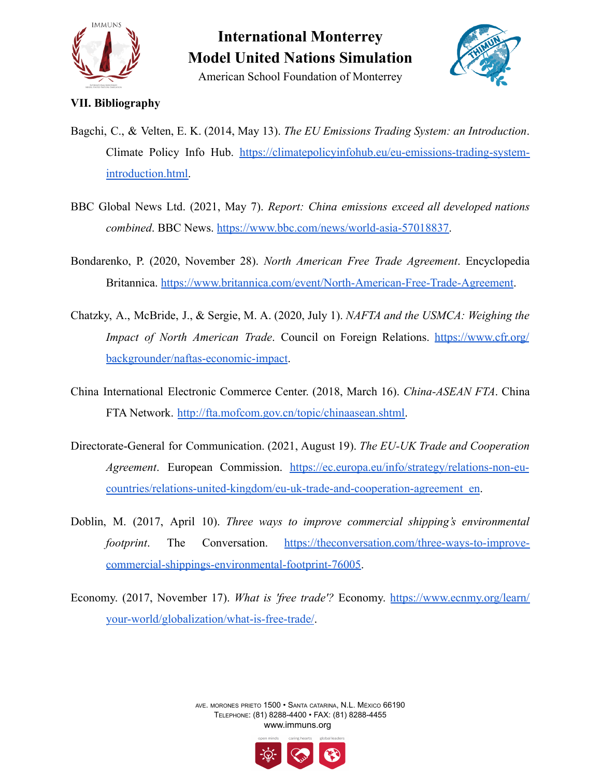

American School Foundation of Monterrey



#### **VII. Bibliography**

- Bagchi, C., & Velten, E. K. (2014, May 13). *The EU Emissions Trading System: an Introduction*. Climate Policy Info Hub. [https://climatepolicyinfohub.eu/eu-emissions-trading-system](https://climatepolicyinfohub.eu/eu-emissions-trading-system-introduction.html)[introduction.html.](https://climatepolicyinfohub.eu/eu-emissions-trading-system-introduction.html)
- BBC Global News Ltd. (2021, May 7). *Report: China emissions exceed all developed nations combined*. BBC News. [https://www.bbc.com/news/world-asia-57018837.](https://www.bbc.com/news/world-asia-57018837)
- Bondarenko, P. (2020, November 28). *North American Free Trade Agreement*. Encyclopedia Britannica. <https://www.britannica.com/event/North-American-Free-Trade-Agreement>.
- Chatzky, A., McBride, J., & Sergie, M. A. (2020, July 1). *NAFTA and the USMCA: Weighing the Impact of North American Trade*. Council on Foreign Relations. [https://www.cfr.org/](https://www.cfr.org/backgrounder/naftas-economic-impact) [backgrounder/naftas-economic-impact](https://www.cfr.org/backgrounder/naftas-economic-impact).
- China International Electronic Commerce Center. (2018, March 16). *China-ASEAN FTA*. China FTA Network. [http://fta.mofcom.gov.cn/topic/chinaasean.shtml.](http://fta.mofcom.gov.cn/topic/chinaasean.shtml)
- Directorate-General for Communication. (2021, August 19). *The EU-UK Trade and Cooperation Agreement*. European Commission. [https://ec.europa.eu/info/strategy/relations-non-eu](https://ec.europa.eu/info/strategy/relations-non-eu-countries/relations-united-kingdom/eu-uk-trade-and-cooperation-agreement_en)[countries/relations-united-kingdom/eu-uk-trade-and-cooperation-agreement\\_en](https://ec.europa.eu/info/strategy/relations-non-eu-countries/relations-united-kingdom/eu-uk-trade-and-cooperation-agreement_en).
- Doblin, M. (2017, April 10). *Three ways to improve commercial shipping's environmental footprint*. The Conversation. [https://theconversation.com/three-ways-to-improve](https://theconversation.com/three-ways-to-improve-commercial-shippings-environmental-footprint-76005)[commercial-shippings-environmental-footprint-76005.](https://theconversation.com/three-ways-to-improve-commercial-shippings-environmental-footprint-76005)
- Economy. (2017, November 17). *What is 'free trade'?* Economy. [https://www.ecnmy.org/learn/](https://www.ecnmy.org/learn/your-world/globalization/what-is-free-trade/) [your-world/globalization/what-is-free-trade/](https://www.ecnmy.org/learn/your-world/globalization/what-is-free-trade/).

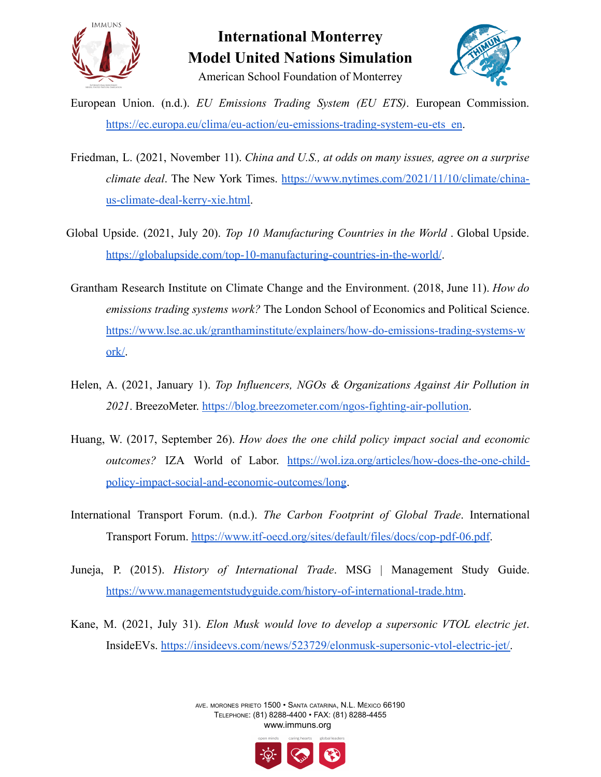



- European Union. (n.d.). *EU Emissions Trading System (EU ETS)*. European Commission. https://ec.europa.eu/clima/eu-action/eu-emissions-trading-system-eu-ets en.
- Friedman, L. (2021, November 11). *China and U.S., at odds on many issues, agree on a surprise climate deal*. The New York Times. [https://www.nytimes.com/2021/11/10/climate/china](https://www.nytimes.com/2021/11/10/climate/china-us-climate-deal-kerry-xie.html)[us-climate-deal-kerry-xie.html.](https://www.nytimes.com/2021/11/10/climate/china-us-climate-deal-kerry-xie.html)
- Global Upside. (2021, July 20). *Top 10 Manufacturing Countries in the World* . Global Upside. <https://globalupside.com/top-10-manufacturing-countries-in-the-world/>.
- Grantham Research Institute on Climate Change and the Environment. (2018, June 11). *How do emissions trading systems work?* The London School of Economics and Political Science. [https://www.lse.ac.uk/granthaminstitute/explainers/how-do-emissions-trading-systems-w](https://www.lse.ac.uk/granthaminstitute/explainers/how-do-emissions-trading-systems-work/) [ork/](https://www.lse.ac.uk/granthaminstitute/explainers/how-do-emissions-trading-systems-work/).
- Helen, A. (2021, January 1). *Top Influencers, NGOs & Organizations Against Air Pollution in 2021*. BreezoMeter. [https://blog.breezometer.com/ngos-fighting-air-pollution.](https://blog.breezometer.com/ngos-fighting-air-pollution)
- Huang, W. (2017, September 26). *How does the one child policy impact social and economic outcomes?* IZA World of Labor. [https://wol.iza.org/articles/how-does-the-one-child](https://wol.iza.org/articles/how-does-the-one-child-policy-impact-social-and-economic-outcomes/long)[policy-impact-social-and-economic-outcomes/long](https://wol.iza.org/articles/how-does-the-one-child-policy-impact-social-and-economic-outcomes/long).
- International Transport Forum. (n.d.). *The Carbon Footprint of Global Trade*. International Transport Forum. <https://www.itf-oecd.org/sites/default/files/docs/cop-pdf-06.pdf>.
- Juneja, P. (2015). *History of International Trade*. MSG | Management Study Guide. <https://www.managementstudyguide.com/history-of-international-trade.htm>.
- Kane, M. (2021, July 31). *Elon Musk would love to develop a supersonic VTOL electric jet*. InsideEVs. [https://insideevs.com/news/523729/elonmusk-supersonic-vtol-electric-jet/.](https://insideevs.com/news/523729/elonmusk-supersonic-vtol-electric-jet/)

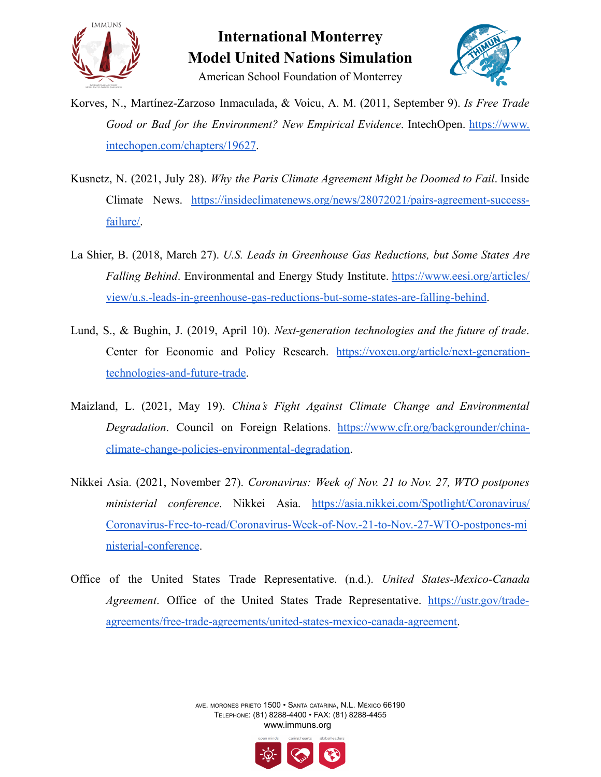



- Korves, N., Martínez-Zarzoso Inmaculada, & Voicu, A. M. (2011, September 9). *Is Free Trade Good or Bad for the Environment? New Empirical Evidence*. IntechOpen. [https://www.](https://www.intechopen.com/chapters/19627) [intechopen.com/chapters/19627.](https://www.intechopen.com/chapters/19627)
- Kusnetz, N. (2021, July 28). *Why the Paris Climate Agreement Might be Doomed to Fail*. Inside Climate News. [https://insideclimatenews.org/news/28072021/pairs-agreement-success](https://insideclimatenews.org/news/28072021/pairs-agreement-success-failure/)[failure/.](https://insideclimatenews.org/news/28072021/pairs-agreement-success-failure/)
- La Shier, B. (2018, March 27). *U.S. Leads in Greenhouse Gas Reductions, but Some States Are Falling Behind*. Environmental and Energy Study Institute. [https://www.eesi.org/articles/](https://www.eesi.org/articles/view/u.s.-leads-in-greenhouse-gas-reductions-but-some-states-are-falling-behind) [view/u.s.-leads-in-greenhouse-gas-reductions-but-some-states-are-falling-behind.](https://www.eesi.org/articles/view/u.s.-leads-in-greenhouse-gas-reductions-but-some-states-are-falling-behind)
- Lund, S., & Bughin, J. (2019, April 10). *Next-generation technologies and the future of trade*. Center for Economic and Policy Research. [https://voxeu.org/article/next-generation](https://voxeu.org/article/next-generation-technologies-and-future-trade)[technologies-and-future-trade.](https://voxeu.org/article/next-generation-technologies-and-future-trade)
- Maizland, L. (2021, May 19). *China's Fight Against Climate Change and Environmental Degradation*. Council on Foreign Relations. [https://www.cfr.org/backgrounder/china](https://www.cfr.org/backgrounder/china-climate-change-policies-environmental-degradation)[climate-change-policies-environmental-degradation.](https://www.cfr.org/backgrounder/china-climate-change-policies-environmental-degradation)
- Nikkei Asia. (2021, November 27). *Coronavirus: Week of Nov. 21 to Nov. 27, WTO postpones ministerial conference*. Nikkei Asia. [https://asia.nikkei.com/Spotlight/Coronavirus/](https://asia.nikkei.com/Spotlight/Coronavirus/Coronavirus-Free-to-read/Coronavirus-Week-of-Nov.-21-to-Nov.-27-WTO-postpones-ministerial-conference) [Coronavirus-Free-to-read/Coronavirus-Week-of-Nov.-21-to-Nov.-27-WTO-postpones-mi](https://asia.nikkei.com/Spotlight/Coronavirus/Coronavirus-Free-to-read/Coronavirus-Week-of-Nov.-21-to-Nov.-27-WTO-postpones-ministerial-conference) [nisterial-conference](https://asia.nikkei.com/Spotlight/Coronavirus/Coronavirus-Free-to-read/Coronavirus-Week-of-Nov.-21-to-Nov.-27-WTO-postpones-ministerial-conference).
- Office of the United States Trade Representative. (n.d.). *United States-Mexico-Canada Agreement*. Office of the United States Trade Representative. [https://ustr.gov/trade](https://ustr.gov/trade-agreements/free-trade-agreements/united-states-mexico-canada-agreement)[agreements/free-trade-agreements/united-states-mexico-canada-agreement.](https://ustr.gov/trade-agreements/free-trade-agreements/united-states-mexico-canada-agreement)

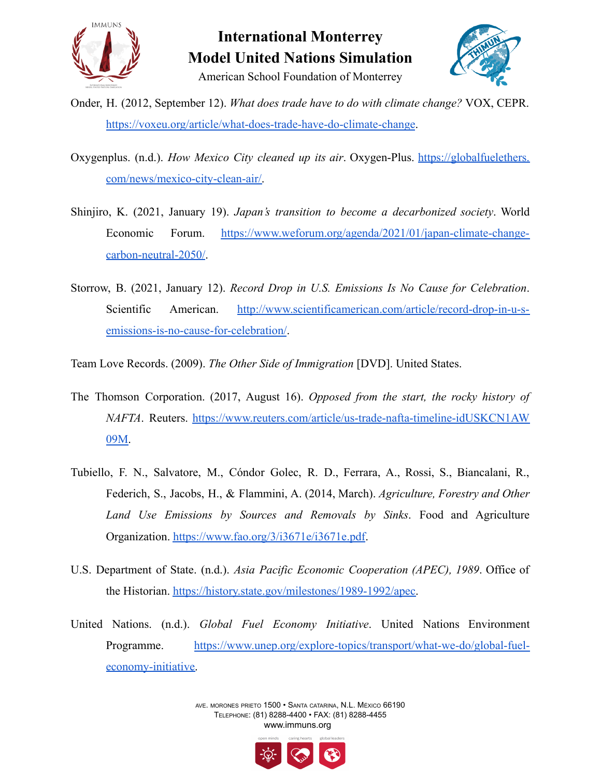



- Onder, H. (2012, September 12). *What does trade have to do with climate change?* VOX, CEPR. <https://voxeu.org/article/what-does-trade-have-do-climate-change>.
- Oxygenplus. (n.d.). *How Mexico City cleaned up its air*. Oxygen-Plus. [https://globalfuelethers.](https://globalfuelethers.com/news/mexico-city-clean-air/) [com/news/mexico-city-clean-air/.](https://globalfuelethers.com/news/mexico-city-clean-air/)
- Shinjiro, K. (2021, January 19). *Japan's transition to become a decarbonized society*. World Economic Forum. [https://www.weforum.org/agenda/2021/01/japan-climate-change](https://www.weforum.org/agenda/2021/01/japan-climate-change-carbon-neutral-2050/)[carbon-neutral-2050/](https://www.weforum.org/agenda/2021/01/japan-climate-change-carbon-neutral-2050/).
- Storrow, B. (2021, January 12). *Record Drop in U.S. Emissions Is No Cause for Celebration*. Scientific American. [http://www.scientificamerican.com/article/record-drop-in-u-s](http://www.scientificamerican.com/article/record-drop-in-u-s-emissions-is-no-cause-for-celebration/)[emissions-is-no-cause-for-celebration/](http://www.scientificamerican.com/article/record-drop-in-u-s-emissions-is-no-cause-for-celebration/).
- Team Love Records. (2009). *The Other Side of Immigration* [DVD]. United States.
- The Thomson Corporation. (2017, August 16). *Opposed from the start, the rocky history of NAFTA*. Reuters. [https://www.reuters.com/article/us-trade-nafta-timeline-idUSKCN1AW](https://www.reuters.com/article/us-trade-nafta-timeline-idUSKCN1AW09M) [09M.](https://www.reuters.com/article/us-trade-nafta-timeline-idUSKCN1AW09M)
- Tubiello, F. N., Salvatore, M., Cóndor Golec, R. D., Ferrara, A., Rossi, S., Biancalani, R., Federich, S., Jacobs, H., & Flammini, A. (2014, March). *Agriculture, Forestry and Other Land Use Emissions by Sources and Removals by Sinks*. Food and Agriculture Organization. <https://www.fao.org/3/i3671e/i3671e.pdf>.
- U.S. Department of State. (n.d.). *Asia Pacific Economic Cooperation (APEC), 1989*. Office of the Historian. [https://history.state.gov/milestones/1989-1992/apec.](https://history.state.gov/milestones/1989-1992/apec)
- United Nations. (n.d.). *Global Fuel Economy Initiative*. United Nations Environment Programme. [https://www.unep.org/explore-topics/transport/what-we-do/global-fuel](https://www.unep.org/explore-topics/transport/what-we-do/global-fuel-economy-initiative)[economy-initiative.](https://www.unep.org/explore-topics/transport/what-we-do/global-fuel-economy-initiative)

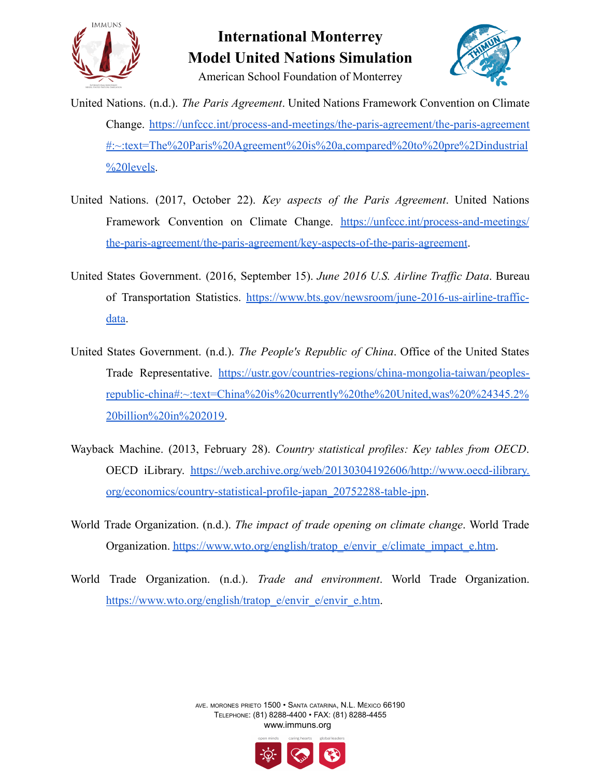



American School Foundation of Monterrey

- United Nations. (n.d.). *The Paris Agreement*. United Nations Framework Convention on Climate Change. [https://unfccc.int/process-and-meetings/the-paris-agreement/the-paris-agreement](https://unfccc.int/process-and-meetings/the-paris-agreement/the-paris-agreement#:~:text=The%20Paris%20Agreement%20is%20a,compared%20to%20pre%2Dindustrial%20levels) [#:~:text=The%20Paris%20Agreement%20is%20a,compared%20to%20pre%2Dindustrial](https://unfccc.int/process-and-meetings/the-paris-agreement/the-paris-agreement#:~:text=The%20Paris%20Agreement%20is%20a,compared%20to%20pre%2Dindustrial%20levels) [%20levels.](https://unfccc.int/process-and-meetings/the-paris-agreement/the-paris-agreement#:~:text=The%20Paris%20Agreement%20is%20a,compared%20to%20pre%2Dindustrial%20levels)
- United Nations. (2017, October 22). *Key aspects of the Paris Agreement*. United Nations Framework Convention on Climate Change. [https://unfccc.int/process-and-meetings/](https://unfccc.int/process-and-meetings/the-paris-agreement/the-paris-agreement/key-aspects-of-the-paris-agreement) [the-paris-agreement/the-paris-agreement/key-aspects-of-the-paris-agreement](https://unfccc.int/process-and-meetings/the-paris-agreement/the-paris-agreement/key-aspects-of-the-paris-agreement).
- United States Government. (2016, September 15). *June 2016 U.S. Airline Traffic Data*. Bureau of Transportation Statistics. [https://www.bts.gov/newsroom/june-2016-us-airline-traffic](https://www.bts.gov/newsroom/june-2016-us-airline-traffic-data)[data.](https://www.bts.gov/newsroom/june-2016-us-airline-traffic-data)
- United States Government. (n.d.). *The People's Republic of China*. Office of the United States Trade Representative. [https://ustr.gov/countries-regions/china-mongolia-taiwan/peoples](https://ustr.gov/countries-regions/china-mongolia-taiwan/peoples-republic-china#:~:text=China%20is%20currently%20the%20United,was%20%24345.2%20billion%20in%202019)[republic-china#:~:text=China%20is%20currently%20the%20United,was%20%24345.2%](https://ustr.gov/countries-regions/china-mongolia-taiwan/peoples-republic-china#:~:text=China%20is%20currently%20the%20United,was%20%24345.2%20billion%20in%202019) [20billion%20in%202019.](https://ustr.gov/countries-regions/china-mongolia-taiwan/peoples-republic-china#:~:text=China%20is%20currently%20the%20United,was%20%24345.2%20billion%20in%202019)
- Wayback Machine. (2013, February 28). *Country statistical profiles: Key tables from OECD*. OECD iLibrary. [https://web.archive.org/web/20130304192606/http://www.oecd-ilibrary.](https://web.archive.org/web/20130304192606/http://www.oecd-ilibrary.org/economics/country-statistical-profile-japan_20752288-table-jpn) [org/economics/country-statistical-profile-japan\\_20752288-table-jpn](https://web.archive.org/web/20130304192606/http://www.oecd-ilibrary.org/economics/country-statistical-profile-japan_20752288-table-jpn).
- World Trade Organization. (n.d.). *The impact of trade opening on climate change*. World Trade Organization. [https://www.wto.org/english/tratop\\_e/envir\\_e/climate\\_impact\\_e.htm](https://www.wto.org/english/tratop_e/envir_e/climate_impact_e.htm).
- World Trade Organization. (n.d.). *Trade and environment*. World Trade Organization. [https://www.wto.org/english/tratop\\_e/envir\\_e/envir\\_e.htm](https://www.wto.org/english/tratop_e/envir_e/envir_e.htm).